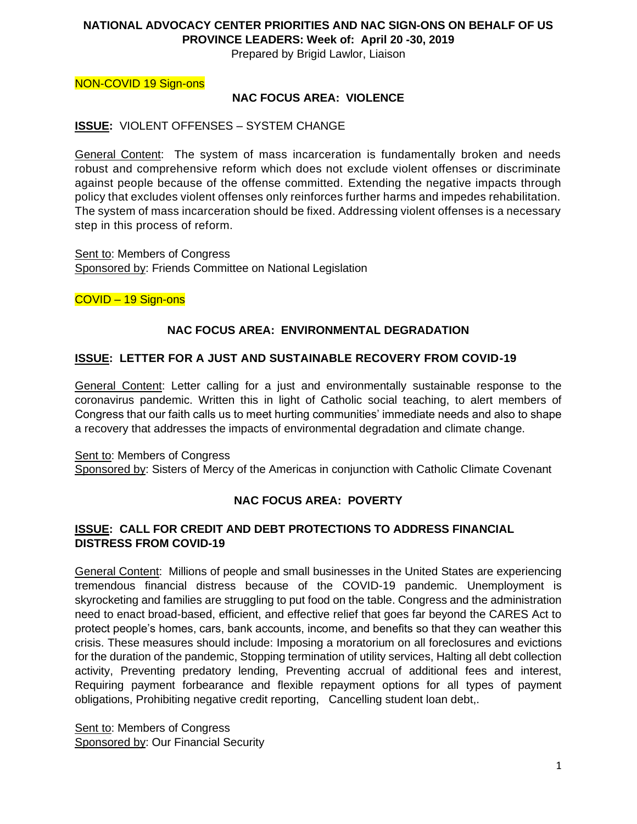#### **NATIONAL ADVOCACY CENTER PRIORITIES AND NAC SIGN-ONS ON BEHALF OF US PROVINCE LEADERS: Week of: April 20 -30, 2019**

Prepared by Brigid Lawlor, Liaison

NON-COVID 19 Sign-ons

### **NAC FOCUS AREA: VIOLENCE**

### **ISSUE:** VIOLENT OFFENSES – SYSTEM CHANGE

General Content: The system of mass incarceration is fundamentally broken and needs robust and comprehensive reform which does not exclude violent offenses or discriminate against people because of the offense committed. Extending the negative impacts through policy that excludes violent offenses only reinforces further harms and impedes rehabilitation. The system of mass incarceration should be fixed. Addressing violent offenses is a necessary step in this process of reform.

Sent to: Members of Congress Sponsored by: Friends Committee on National Legislation

COVID – 19 Sign-ons

## **NAC FOCUS AREA: ENVIRONMENTAL DEGRADATION**

### **ISSUE: LETTER FOR A JUST AND SUSTAINABLE RECOVERY FROM COVID-19**

General Content: Letter calling for a just and environmentally sustainable response to the coronavirus pandemic. Written this in light of Catholic social teaching, to alert members of Congress that our faith calls us to meet hurting communities' immediate needs and also to shape a recovery that addresses the impacts of environmental degradation and climate change.

Sent to: Members of Congress Sponsored by: Sisters of Mercy of the Americas in conjunction with Catholic Climate Covenant

# **NAC FOCUS AREA: POVERTY**

### **ISSUE: CALL FOR CREDIT AND DEBT PROTECTIONS TO ADDRESS FINANCIAL DISTRESS FROM COVID-19**

General Content: Millions of people and small businesses in the United States are experiencing tremendous financial distress because of the COVID-19 pandemic. Unemployment is skyrocketing and families are struggling to put food on the table. Congress and the administration need to enact broad-based, efficient, and effective relief that goes far beyond the CARES Act to protect people's homes, cars, bank accounts, income, and benefits so that they can weather this crisis. These measures should include: Imposing a moratorium on all foreclosures and evictions for the duration of the pandemic, Stopping termination of utility services, Halting all debt collection activity, Preventing predatory lending, Preventing accrual of additional fees and interest, Requiring payment forbearance and flexible repayment options for all types of payment obligations, Prohibiting negative credit reporting, Cancelling student loan debt,.

Sent to: Members of Congress Sponsored by: Our Financial Security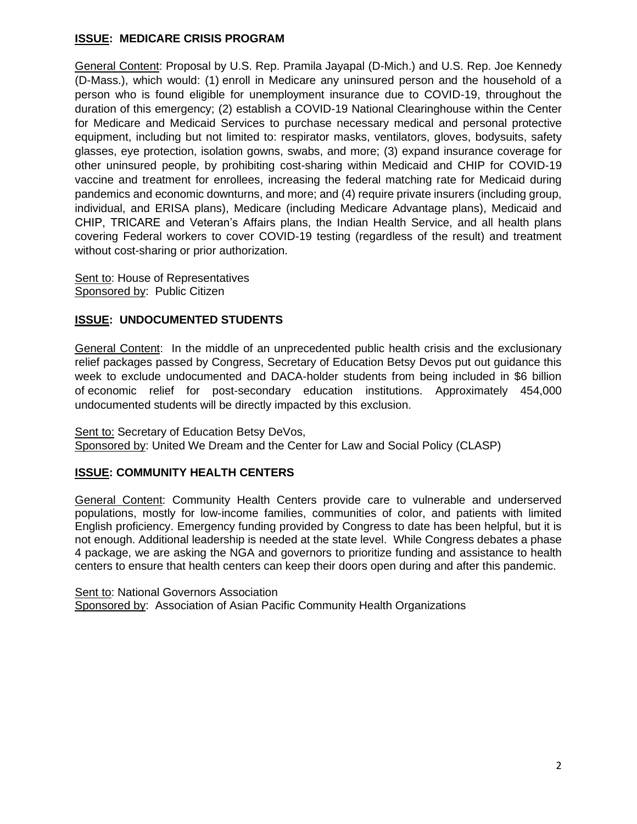## **ISSUE: MEDICARE CRISIS PROGRAM**

General Content: Proposal by U.S. Rep. Pramila Jayapal (D-Mich.) and U.S. Rep. Joe Kennedy (D-Mass.), which would: (1) enroll in Medicare any uninsured person and the household of a person who is found eligible for unemployment insurance due to COVID-19, throughout the duration of this emergency; (2) establish a COVID-19 National Clearinghouse within the Center for Medicare and Medicaid Services to purchase necessary medical and personal protective equipment, including but not limited to: respirator masks, ventilators, gloves, bodysuits, safety glasses, eye protection, isolation gowns, swabs, and more; (3) expand insurance coverage for other uninsured people, by prohibiting cost-sharing within Medicaid and CHIP for COVID-19 vaccine and treatment for enrollees, increasing the federal matching rate for Medicaid during pandemics and economic downturns, and more; and (4) require private insurers (including group, individual, and ERISA plans), Medicare (including Medicare Advantage plans), Medicaid and CHIP, TRICARE and Veteran's Affairs plans, the Indian Health Service, and all health plans covering Federal workers to cover COVID-19 testing (regardless of the result) and treatment without cost-sharing or prior authorization.

Sent to: House of Representatives Sponsored by: Public Citizen

## **ISSUE: UNDOCUMENTED STUDENTS**

General Content: In the middle of an unprecedented public health crisis and the exclusionary relief packages passed by Congress, Secretary of Education Betsy Devos put out guidance this week to exclude undocumented and DACA-holder students from being included in \$6 billion of economic relief for post-secondary education institutions. Approximately 454,000 undocumented students will be directly impacted by this exclusion.

Sent to: Secretary of Education Betsy DeVos, Sponsored by: United We Dream and the Center for Law and Social Policy (CLASP)

### **ISSUE: COMMUNITY HEALTH CENTERS**

General Content: Community Health Centers provide care to vulnerable and underserved populations, mostly for low-income families, communities of color, and patients with limited English proficiency. Emergency funding provided by Congress to date has been helpful, but it is not enough. Additional leadership is needed at the state level. While Congress debates a phase 4 package, we are asking the NGA and governors to prioritize funding and assistance to health centers to ensure that health centers can keep their doors open during and after this pandemic.

Sent to: National Governors Association Sponsored by: Association of Asian Pacific Community Health Organizations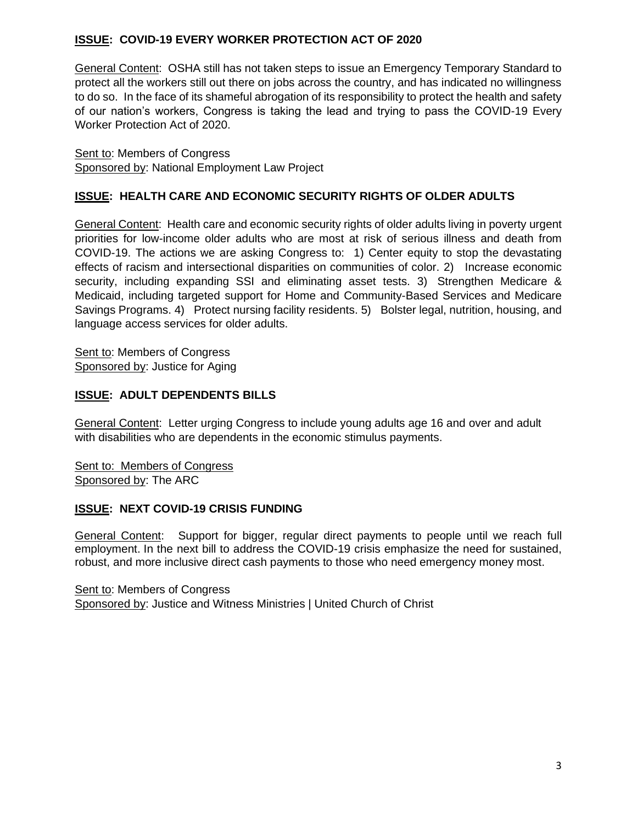# **ISSUE: COVID-19 EVERY WORKER PROTECTION ACT OF 2020**

General Content: OSHA still has not taken steps to issue an Emergency Temporary Standard to protect all the workers still out there on jobs across the country, and has indicated no willingness to do so. In the face of its shameful abrogation of its responsibility to protect the health and safety of our nation's workers, Congress is taking the lead and trying to pass the COVID-19 Every Worker Protection Act of 2020.

Sent to: Members of Congress Sponsored by: National Employment Law Project

## **ISSUE: HEALTH CARE AND ECONOMIC SECURITY RIGHTS OF OLDER ADULTS**

General Content: Health care and economic security rights of older adults living in poverty urgent priorities for low-income older adults who are most at risk of serious illness and death from COVID-19. The actions we are asking Congress to: 1) Center equity to stop the devastating effects of racism and intersectional disparities on communities of color. 2) Increase economic security, including expanding SSI and eliminating asset tests. 3) Strengthen Medicare & Medicaid, including targeted support for Home and Community-Based Services and Medicare Savings Programs. 4) Protect nursing facility residents. 5) Bolster legal, nutrition, housing, and language access services for older adults.

Sent to: Members of Congress Sponsored by: Justice for Aging

## **ISSUE: ADULT DEPENDENTS BILLS**

General Content: Letter urging Congress to include young adults age 16 and over and adult with disabilities who are dependents in the economic stimulus payments.

Sent to: Members of Congress Sponsored by: The ARC

### **ISSUE: NEXT COVID-19 CRISIS FUNDING**

General Content: Support for bigger, regular direct payments to people until we reach full employment. In the next bill to address the COVID-19 crisis emphasize the need for sustained, robust, and more inclusive direct cash payments to those who need emergency money most.

Sent to: Members of Congress Sponsored by: Justice and Witness Ministries | United Church of Christ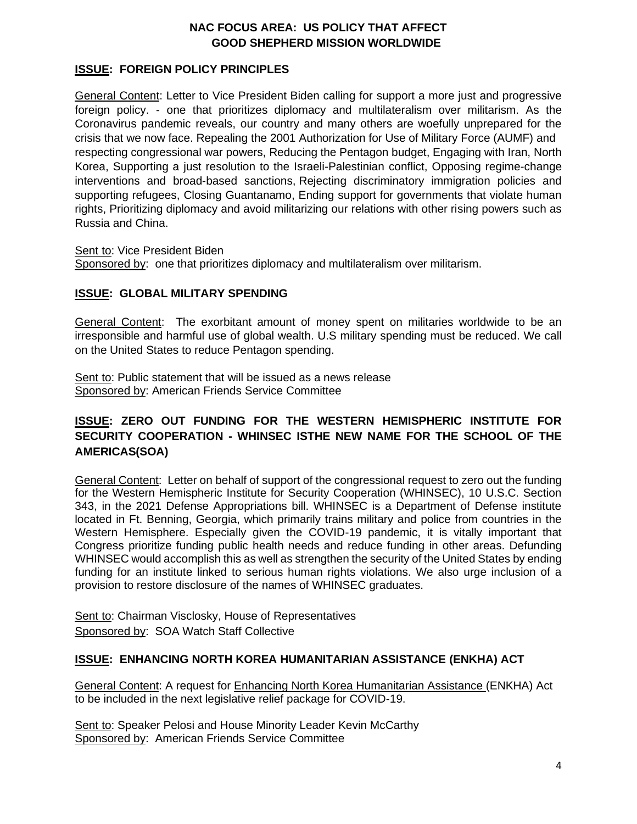# **NAC FOCUS AREA: US POLICY THAT AFFECT GOOD SHEPHERD MISSION WORLDWIDE**

### **ISSUE: FOREIGN POLICY PRINCIPLES**

General Content: Letter to Vice President Biden calling for support a more just and progressive foreign policy. - one that prioritizes diplomacy and multilateralism over militarism. As the Coronavirus pandemic reveals, our country and many others are woefully unprepared for the crisis that we now face. Repealing the 2001 Authorization for Use of Military Force (AUMF) and respecting congressional war powers, Reducing the Pentagon budget, Engaging with Iran, North Korea, Supporting a just resolution to the Israeli-Palestinian conflict, Opposing regime-change interventions and broad-based sanctions, Rejecting discriminatory immigration policies and supporting refugees, Closing Guantanamo, Ending support for governments that violate human rights, Prioritizing diplomacy and avoid militarizing our relations with other rising powers such as Russia and China.

Sent to: Vice President Biden

Sponsored by: one that prioritizes diplomacy and multilateralism over militarism.

### **ISSUE: GLOBAL MILITARY SPENDING**

General Content: The exorbitant amount of money spent on militaries worldwide to be an irresponsible and harmful use of global wealth. U.S military spending must be reduced. We call on the United States to reduce Pentagon spending.

Sent to: Public statement that will be issued as a news release Sponsored by: American Friends Service Committee

# **ISSUE: ZERO OUT FUNDING FOR THE WESTERN HEMISPHERIC INSTITUTE FOR SECURITY COOPERATION - WHINSEC ISTHE NEW NAME FOR THE SCHOOL OF THE AMERICAS(SOA)**

General Content: Letter on behalf of support of the congressional request to zero out the funding for the Western Hemispheric Institute for Security Cooperation (WHINSEC), 10 U.S.C. Section 343, in the 2021 Defense Appropriations bill. WHINSEC is a Department of Defense institute located in Ft. Benning, Georgia, which primarily trains military and police from countries in the Western Hemisphere. Especially given the COVID-19 pandemic, it is vitally important that Congress prioritize funding public health needs and reduce funding in other areas. Defunding WHINSEC would accomplish this as well as strengthen the security of the United States by ending funding for an institute linked to serious human rights violations. We also urge inclusion of a provision to restore disclosure of the names of WHINSEC graduates.

Sent to: Chairman Visclosky, House of Representatives Sponsored by: SOA Watch Staff Collective

### **ISSUE: [ENHANCING NORTH KOREA HUMANITARIAN ASSISTANCE](https://www.markey.senate.gov/imo/media/doc/North%20Korea%20humanitarian%20assistance%202020.pdf) (ENKHA) ACT**

General Content: A request for [Enhancing North Korea Humanitarian Assistance](https://www.markey.senate.gov/imo/media/doc/North%20Korea%20humanitarian%20assistance%202020.pdf) (ENKHA) Act to be included in the next legislative relief package for COVID-19.

Sent to: Speaker Pelosi and House Minority Leader Kevin McCarthy Sponsored by: American Friends Service Committee